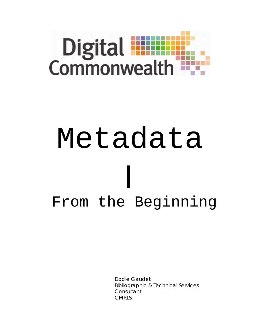

# Metadata I From the Beginning

Dodie Gaudet Bibliographic & Technical Services **Consultant** CMRLS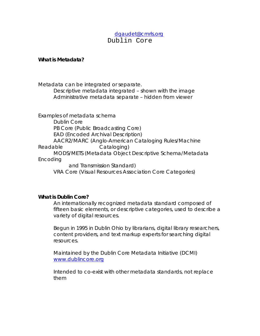## [dgaudet@cmrls.org](mailto:dgaudet@cmrls.org) Dublin Core

#### **What is Metadata?**

Metadata can be integrated or separate. Descriptive metadata integrated – shown with the image Administrative metadata separate – hidden from viewer

Examples of metadata schema

Dublin Core PB Core (Public Broadcasting Core) EAD (Encoded Archival Description) AACR2/MARC (Anglo-American Cataloging Rules/Machine Readable Cataloging) MODS/METS (Metadata Object Descriptive Schema/Metadata Encoding

and Transmission Standard) VRA Core (Visual Resources Association Core Categories)

#### **What is Dublin Core?**

An internationally recognized metadata standard composed of fifteen basic elements, or descriptive categories, used to describe a variety of digital resources.

Begun in 1995 in Dublin Ohio by librarians, digital library researchers, content providers, and text markup experts for searching digital resources.

Maintained by the Dublin Core Metadata Initiative (DCMI) [www.dublincore.org](http://www.dublincore.org/)

Intended to co-exist with other metadata standards, not replace them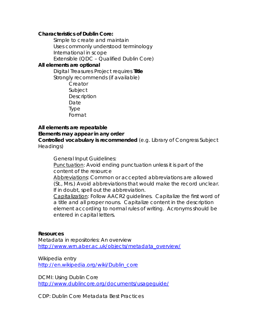#### **Characteristics of Dublin Core:**

Simple to create and maintain Uses commonly understood terminology International in scope Extensible (QDC – Qualified Dublin Core)

#### **All elements are optional**

Digital Treasures Project requires **Title** Strongly recommends (if available)

> Creator Subject **Description** Date Type Format

#### **All elements are repeatable Elements may appear in any order**

**Controlled vocabulary is recommended** (e.g. Library of Congress Subject Headings)

General Input Guidelines:

Punctuation: Avoid ending punctuation unless it is part of the content of the resource

Abbreviations: Common or accepted abbreviations are allowed (St., Mrs.) Avoid abbreviations that would make the record unclear. If in doubt, spell out the abbreviation.

Capitalization: Follow AACR2 guidelines. Capitalize the first word of a title and all proper nouns. Capitalize content in the description element according to normal rules of writing. Acronyms should be entered in capital letters.

#### **Resources**

Metadata in repositories: An overview [http://www.wrn.aber.ac.uk/objects/metadata\\_overview/](http://www.wrn.aber.ac.uk/objects/metadata_overview/)

Wikipedia entry [http://en.wikipedia.org/wiki/Dublin\\_core](http://en.wikipedia.org/wiki/Dublin_core)

DCMI: Using Dublin Core <http://www.dublincore.org/documents/usageguide/>

CDP: Dublin Core Metadata Best Practices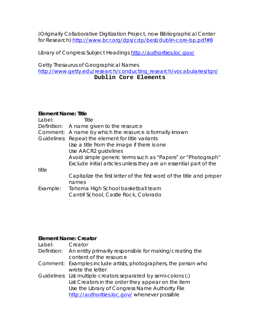(Originally Collaborative Digitization Project, now Bibliographical Center for Research) <http://www.bcr.org/dps/cdp/best/dublin-core-bp.pdf#8>

Library of Congress Subject Headings<http://authorities.loc.gov/>

Getty Thesaurus of Geographical Names [http://www.getty.edu/research/conducting\\_research/vocabularies/tgn/](http://www.getty.edu/research/conducting_research/vocabularies/tgn/) **Dublin Core Elements**

## **Element Name: Title**

| Label:      | Title                                                                 |
|-------------|-----------------------------------------------------------------------|
| Definition: | A name given to the resource                                          |
|             | Comment: A name by which the resource is formally known               |
|             | Guidelines: Repeat the element for title variants                     |
|             | Use a title from the image if there is one                            |
|             | Use AACR2 guidelines                                                  |
|             | Avoid simple generic terms such as "Papers" or "Photograph"           |
|             | Exclude initial articles unless they are an essential part of the     |
| title       |                                                                       |
|             | Capitalize the first letter of the first word of the title and proper |
|             | names                                                                 |
| Example:    | Tahoma High School basketball team                                    |
|             | Cantril School, Castle Rock, Colorado                                 |

### **Element Name: Creator**

| Label: | Creator                                                                            |
|--------|------------------------------------------------------------------------------------|
|        | Definition: An entity primarily responsible for making/creating the                |
|        | content of the resource                                                            |
|        | Comment: Examples include artists, photographers, the person who                   |
|        | wrote the letter                                                                   |
|        | Guidelines: List multiple creators separated by semi-colons $\left( \cdot \right)$ |
|        | List Creators in the order they appear on the item                                 |
|        | Use the Library of Congress Name Authority File                                    |
|        | http://authorities.loc.gov/ whenever possible                                      |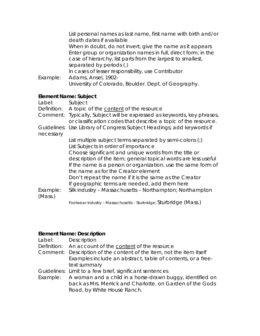| Example:              | List personal names as last name, first name with birth and/or<br>death dates if available<br>When in doubt, do not invert; give the name as it appears<br>Enter group or organization names in full, direct form; in the<br>case of hierarchy, list parts from the largest to smallest,<br>separated by periods (.)<br>In cases of lesser responsibility, use Contributor<br>Adams, Ansel, 1902-<br>University of Colorado, Boulder. Dept. of Geography. |
|-----------------------|-----------------------------------------------------------------------------------------------------------------------------------------------------------------------------------------------------------------------------------------------------------------------------------------------------------------------------------------------------------------------------------------------------------------------------------------------------------|
| Element Name: Subject | Subject                                                                                                                                                                                                                                                                                                                                                                                                                                                   |
| Label:                | Definition: A topic of the content of the resource                                                                                                                                                                                                                                                                                                                                                                                                        |

|           | Deminion. A topic of the content of the resource                            |
|-----------|-----------------------------------------------------------------------------|
|           | Comment: Typically, Subject will be expressed as keywords, key phrases,     |
|           | or classification codes that describe a topic of the resource.              |
|           | Guidelines: Use Library of Congress Subject Headings; add keywords if       |
| necessary |                                                                             |
|           | List multiple subject terms separated by semi-colons $\left( \cdot \right)$ |
|           | List Subjects in order of importance                                        |
|           | Choose significant and unique words from the title or                       |
|           | description of the item; general topical words are less useful              |
|           | If the name is a person or organization, use the same form of               |
|           | the name as for the Creator element                                         |
|           | Don't repeat the name if it is the same as the Creator                      |
|           | If geographic terms are needed, add them here                               |
| Example:  | Silk industry – Massachusetts – Northampton; Northampton                    |
| (Mass.)   |                                                                             |
|           | a contra contra Cturbida (Maco)                                             |

Footwear industry – Massachusetts – Sturbridge; Sturbridge (Mass.)

## **Element Name: Description**

| Description                                                          |
|----------------------------------------------------------------------|
| Definition: An account of the content of the resource                |
| Comment: Description of the content of the item, not the item itself |
| Examples include an abstract, table of contents, or a free-          |
| text summary                                                         |
| Guidelines: Limit to a few brief, significant sentences              |
| A woman and a child in a horse-drawn buggy, identified on            |
| back as Mrs. Merrick and Charlotte, on Garden of the Gods            |
| Road, by White House Ranch.                                          |
|                                                                      |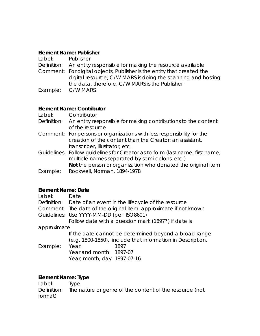#### **Element Name: Publisher**

| Label: | Publisher                                                              |
|--------|------------------------------------------------------------------------|
|        | Definition: An entity responsible for making the resource available    |
|        | Comment: For digital objects, Publisher is the entity that created the |
|        | digital resource; C/W MARS is doing the scanning and hosting           |
|        | the data, therefore, C/W MARS is the Publisher                         |
|        | Example: C/W MARS                                                      |

#### **Element Name: Contributor**

- Label: Contributor
- Definition: An entity responsible for making contributions to the content of the resource
- Comment: For persons or organizations with less responsibility for the creation of the content than the Creator; an assistant, transcriber, illustrator, etc.

Guidelines: Follow guidelines for Creator as to form (last name, first name; multiple names separated by semi-colons, etc.) **Not** the person or organization who donated the original item

Example: Rockwell, Norman, 1894-1978

### **Element Name: Date**

| Label:      | Date                                                             |
|-------------|------------------------------------------------------------------|
|             | Definition: Date of an event in the lifecycle of the resource    |
|             | Comment: The date of the original item; approximate if not known |
|             | Guidelines: Use YYYY-MM-DD (per ISO8601)                         |
|             | Follow date with a question mark (1897?) if date is              |
| approximate |                                                                  |
|             | If the date cannot be determined beyond a broad range            |
|             | (e.g. 1800-1850), include that information in Description.       |
| Example:    | Year:<br>1897                                                    |
|             | Year and month: 1897-07                                          |
|             | Year, month, day 1897-07-16                                      |

### **Element Name: Type**

| Label: Type |                                                                     |
|-------------|---------------------------------------------------------------------|
|             | Definition: The nature or genre of the content of the resource (not |
| format)     |                                                                     |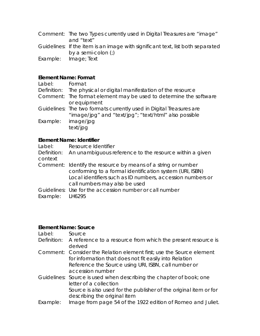| Comment: The two Types currently used in Digital Treasures are "image" |
|------------------------------------------------------------------------|
| and "text"                                                             |

- Guidelines: If the item is an image with significant text, list both separated by a semi-colon (;)
- Example: Image; Text

## **Element Name: Format**

| Label:      | Format                                                              |
|-------------|---------------------------------------------------------------------|
| Definition: | The physical or digital manifestation of the resource               |
|             | Comment: The format element may be used to determine the software   |
|             | or equipment                                                        |
|             | Guidelines: The two formats currently used in Digital Treasures are |
|             | "image/jpg" and "text/jpg"; "text/html" also possible               |
| Example:    | image/jpg                                                           |
|             | text/jpg                                                            |
|             |                                                                     |

## **Element Name: Identifier**

| Label:                 | Resource Identifier                                                                                                                                                                                                      |
|------------------------|--------------------------------------------------------------------------------------------------------------------------------------------------------------------------------------------------------------------------|
| Definition:<br>context | An unambiguous reference to the resource within a given                                                                                                                                                                  |
|                        | Comment: Identify the resource by means of a string or number<br>conforming to a formal identification system (URI, ISBN)<br>Local identifiers such as ID numbers, accession numbers or<br>call numbers may also be used |
|                        | Guidelines: Use for the accession number or call number                                                                                                                                                                  |
| Example: LH6295        |                                                                                                                                                                                                                          |

## **Element Name: Source**

| Label:   | Source                                                                   |
|----------|--------------------------------------------------------------------------|
|          | Definition: A reference to a resource from which the present resource is |
|          | derived                                                                  |
|          | Comment: Consider the Relation element first; use the Source element     |
|          | for information that does not fit easily into Relation                   |
|          | Reference the Source using URI, ISBN, call number or                     |
|          | accession number                                                         |
|          | Guidelines: Source is used when describing the chapter of book; one      |
|          | letter of a collection                                                   |
|          | Source is also used for the publisher of the original item or for        |
|          | describing the original item                                             |
| Example: | Image from page 54 of the 1922 edition of Romeo and Juliet.              |
|          |                                                                          |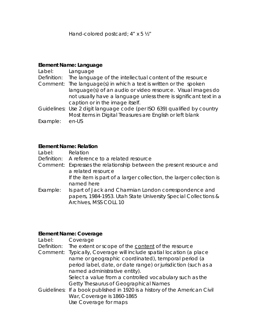Hand-colored postcard; 4" x 5 ½"

### **Element Name: Language**

| Label:      | Language                                                                 |  |
|-------------|--------------------------------------------------------------------------|--|
| Definition: | The language of the intellectual content of the resource                 |  |
| Comment:    | The language(s) in which a text is written or the spoken                 |  |
|             | language(s) of an audio or video resource. Visual images do              |  |
|             | not usually have a language unless there is significant text in a        |  |
|             | caption or in the image itself.                                          |  |
|             | Guidelines: Use 2 digit language code (per ISO 639) qualified by country |  |
|             | Most items in Digital Treasures are English or left blank                |  |
| Example:    | en-US                                                                    |  |

#### **Element Name: Relation**

Label: Relation

- Definition: A reference to a related resource
- Comment: Expresses the relationship between the present resource and a related resource

If the item is part of a larger collection, the larger collection is named here

Example: Is part of Jack and Charmian London correspondence and papers, 1984-1953. Utah State University Special Collections & Archives, MSS COLL 10

### **Element Name: Coverage**

| Label:      | Coverage                                                                   |  |  |
|-------------|----------------------------------------------------------------------------|--|--|
| Definition: | The extent or scope of the content of the resource                         |  |  |
| Comment:    | Typically, Coverage will include spatial location (a place                 |  |  |
|             | name or geographic coordinated), temporal period (a                        |  |  |
|             | period label, date, or date range) or jurisdiction (such as a              |  |  |
|             | named administrative entity).                                              |  |  |
|             | Select a value from a controlled vocabulary such as the                    |  |  |
|             | Getty Thesaurus of Geographical Names                                      |  |  |
|             | Guidelines: If a book published in 1920 is a history of the American Civil |  |  |
|             | War, Coverage is 1860-1865                                                 |  |  |
|             | Use Coverage for maps                                                      |  |  |
|             |                                                                            |  |  |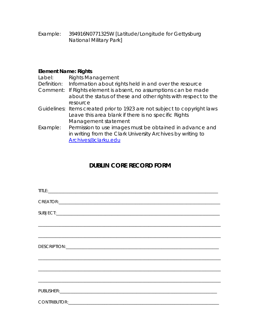Example: 394916N0771325W [Latitude/Longitude for Gettysburg National Military Park]

## **Element Name: Rights**

| Label:      | <b>Rights Management</b>                                                                                                  |
|-------------|---------------------------------------------------------------------------------------------------------------------------|
| Definition: | Information about rights held in and over the resource                                                                    |
| Comment:    | If Rights element is absent, no assumptions can be made<br>about the status of these and other rights with respect to the |
|             | resource                                                                                                                  |
|             | Guidelines: Items created prior to 1923 are not subject to copyright laws                                                 |
|             | Leave this area blank if there is no specific Rights                                                                      |
|             | Management statement                                                                                                      |
| Example:    | Permission to use images must be obtained in advance and                                                                  |
|             | in writing from the Clark University Archives by writing to                                                               |
|             | Archives@clarku.edu                                                                                                       |
|             |                                                                                                                           |

# **DUBLIN CORE RECORD FORM**